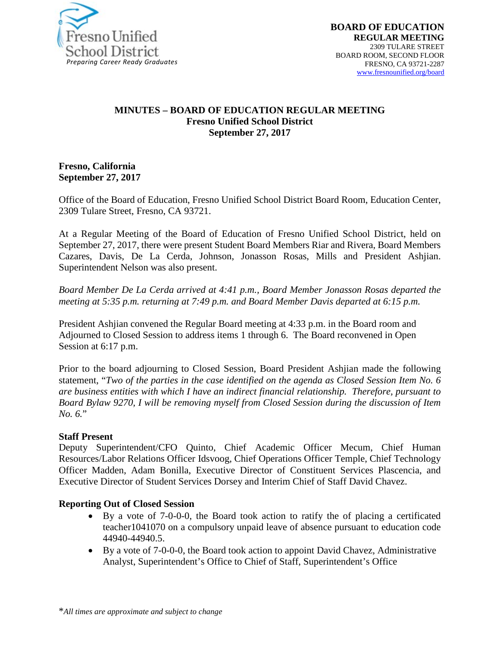

#### **MINUTES – BOARD OF EDUCATION REGULAR MEETING Fresno Unified School District September 27, 2017**

#### **Fresno, California September 27, 2017**

Office of the Board of Education, Fresno Unified School District Board Room, Education Center, 2309 Tulare Street, Fresno, CA 93721.

At a Regular Meeting of the Board of Education of Fresno Unified School District, held on September 27, 2017, there were present Student Board Members Riar and Rivera, Board Members Cazares, Davis, De La Cerda, Johnson, Jonasson Rosas, Mills and President Ashjian. Superintendent Nelson was also present.

*Board Member De La Cerda arrived at 4:41 p.m., Board Member Jonasson Rosas departed the meeting at 5:35 p.m. returning at 7:49 p.m. and Board Member Davis departed at 6:15 p.m.*

President Ashjian convened the Regular Board meeting at 4:33 p.m. in the Board room and Adjourned to Closed Session to address items 1 through 6. The Board reconvened in Open Session at 6:17 p.m.

Prior to the board adjourning to Closed Session, Board President Ashjian made the following statement, "*Two of the parties in the case identified on the agenda as Closed Session Item No. 6 are business entities with which I have an indirect financial relationship. Therefore, pursuant to Board Bylaw 9270, I will be removing myself from Closed Session during the discussion of Item No. 6.*"

#### **Staff Present**

Deputy Superintendent/CFO Quinto, Chief Academic Officer Mecum, Chief Human Resources/Labor Relations Officer Idsvoog, Chief Operations Officer Temple, Chief Technology Officer Madden, Adam Bonilla, Executive Director of Constituent Services Plascencia, and Executive Director of Student Services Dorsey and Interim Chief of Staff David Chavez.

#### **Reporting Out of Closed Session**

- By a vote of 7-0-0-0, the Board took action to ratify the of placing a certificated teacher1041070 on a compulsory unpaid leave of absence pursuant to education code 44940-44940.5.
- By a vote of 7-0-0-0, the Board took action to appoint David Chavez, Administrative Analyst, Superintendent's Office to Chief of Staff, Superintendent's Office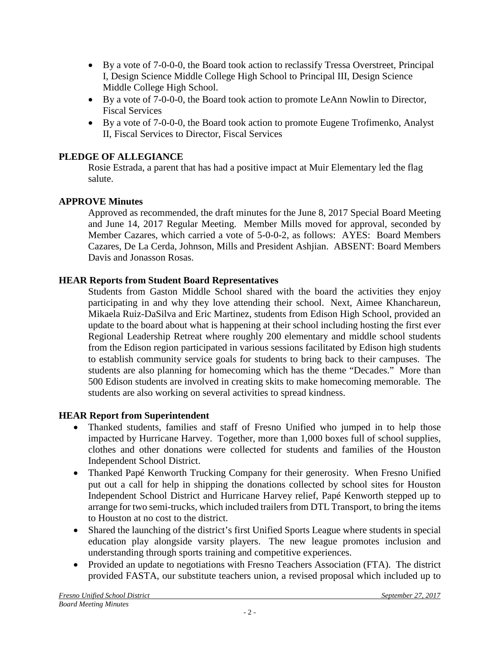- By a vote of 7-0-0-0, the Board took action to reclassify Tressa Overstreet, Principal I, Design Science Middle College High School to Principal III, Design Science Middle College High School.
- By a vote of 7-0-0-0, the Board took action to promote LeAnn Nowlin to Director, Fiscal Services
- By a vote of 7-0-0-0, the Board took action to promote Eugene Trofimenko, Analyst II, Fiscal Services to Director, Fiscal Services

# **PLEDGE OF ALLEGIANCE**

Rosie Estrada, a parent that has had a positive impact at Muir Elementary led the flag salute.

## **APPROVE Minutes**

Approved as recommended, the draft minutes for the June 8, 2017 Special Board Meeting and June 14, 2017 Regular Meeting. Member Mills moved for approval, seconded by Member Cazares, which carried a vote of 5-0-0-2, as follows: AYES: Board Members Cazares, De La Cerda, Johnson, Mills and President Ashjian. ABSENT: Board Members Davis and Jonasson Rosas.

## **HEAR Reports from Student Board Representatives**

Students from Gaston Middle School shared with the board the activities they enjoy participating in and why they love attending their school. Next, Aimee Khanchareun, Mikaela Ruiz-DaSilva and Eric Martinez, students from Edison High School, provided an update to the board about what is happening at their school including hosting the first ever Regional Leadership Retreat where roughly 200 elementary and middle school students from the Edison region participated in various sessions facilitated by Edison high students to establish community service goals for students to bring back to their campuses. The students are also planning for homecoming which has the theme "Decades." More than 500 Edison students are involved in creating skits to make homecoming memorable. The students are also working on several activities to spread kindness.

## **HEAR Report from Superintendent**

- Thanked students, families and staff of Fresno Unified who jumped in to help those impacted by Hurricane Harvey. Together, more than 1,000 boxes full of school supplies, clothes and other donations were collected for students and families of the Houston Independent School District.
- Thanked Papé Kenworth Trucking Company for their generosity. When Fresno Unified put out a call for help in shipping the donations collected by school sites for Houston Independent School District and Hurricane Harvey relief, Papé Kenworth stepped up to arrange for two semi-trucks, which included trailers from DTL Transport, to bring the items to Houston at no cost to the district.
- Shared the launching of the district's first Unified Sports League where students in special education play alongside varsity players. The new league promotes inclusion and understanding through sports training and competitive experiences.
- Provided an update to negotiations with Fresno Teachers Association (FTA). The district provided FASTA, our substitute teachers union, a revised proposal which included up to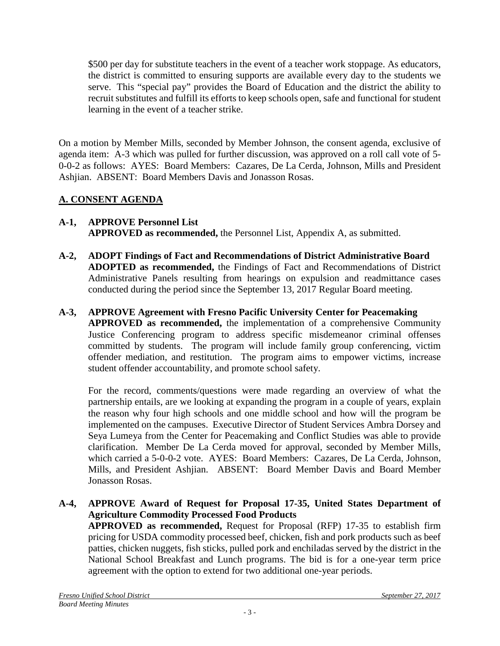\$500 per day for substitute teachers in the event of a teacher work stoppage. As educators, the district is committed to ensuring supports are available every day to the students we serve. This "special pay" provides the Board of Education and the district the ability to recruit substitutes and fulfill its efforts to keep schools open, safe and functional for student learning in the event of a teacher strike.

On a motion by Member Mills, seconded by Member Johnson, the consent agenda, exclusive of agenda item: A-3 which was pulled for further discussion, was approved on a roll call vote of 5- 0-0-2 as follows: AYES: Board Members: Cazares, De La Cerda, Johnson, Mills and President Ashjian. ABSENT: Board Members Davis and Jonasson Rosas.

## **A. CONSENT AGENDA**

- **A-1, APPROVE Personnel List APPROVED as recommended,** the Personnel List, Appendix A, as submitted.
- **A-2, ADOPT Findings of Fact and Recommendations of District Administrative Board ADOPTED as recommended,** the Findings of Fact and Recommendations of District Administrative Panels resulting from hearings on expulsion and readmittance cases conducted during the period since the September 13, 2017 Regular Board meeting.

## **A-3, APPROVE Agreement with Fresno Pacific University Center for Peacemaking**

**APPROVED as recommended,** the implementation of a comprehensive Community Justice Conferencing program to address specific misdemeanor criminal offenses committed by students. The program will include family group conferencing, victim offender mediation, and restitution. The program aims to empower victims, increase student offender accountability, and promote school safety.

For the record, comments/questions were made regarding an overview of what the partnership entails, are we looking at expanding the program in a couple of years, explain the reason why four high schools and one middle school and how will the program be implemented on the campuses. Executive Director of Student Services Ambra Dorsey and Seya Lumeya from the Center for Peacemaking and Conflict Studies was able to provide clarification. Member De La Cerda moved for approval, seconded by Member Mills, which carried a 5-0-0-2 vote. AYES: Board Members: Cazares, De La Cerda, Johnson, Mills, and President Ashjian. ABSENT: Board Member Davis and Board Member Jonasson Rosas.

## **A-4, APPROVE Award of Request for Proposal 17-35, United States Department of Agriculture Commodity Processed Food Products**

**APPROVED as recommended,** Request for Proposal (RFP) 17-35 to establish firm pricing for USDA commodity processed beef, chicken, fish and pork products such as beef patties, chicken nuggets, fish sticks, pulled pork and enchiladas served by the district in the National School Breakfast and Lunch programs. The bid is for a one-year term price agreement with the option to extend for two additional one-year periods.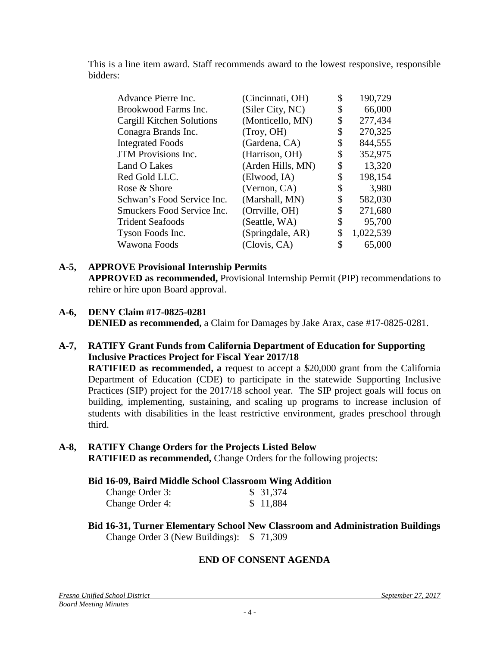This is a line item award. Staff recommends award to the lowest responsive, responsible bidders:

| Advance Pierre Inc.        | (Cincinnati, OH)  | \$<br>190,729   |
|----------------------------|-------------------|-----------------|
| Brookwood Farms Inc.       | (Siler City, NC)  | \$<br>66,000    |
| Cargill Kitchen Solutions  | (Monticello, MN)  | \$<br>277,434   |
| Conagra Brands Inc.        | (Troy, OH)        | \$<br>270,325   |
| <b>Integrated Foods</b>    | (Gardena, CA)     | \$<br>844,555   |
| <b>JTM</b> Provisions Inc. | (Harrison, OH)    | \$<br>352,975   |
| Land O Lakes               | (Arden Hills, MN) | \$<br>13,320    |
| Red Gold LLC.              | (Elwood, IA)      | \$<br>198,154   |
| Rose & Shore               | (Vernon, CA)      | \$<br>3,980     |
| Schwan's Food Service Inc. | (Marshall, MN)    | \$<br>582,030   |
| Smuckers Food Service Inc. | (Orrville, OH)    | \$<br>271,680   |
| <b>Trident Seafoods</b>    | (Seattle, WA)     | \$<br>95,700    |
| Tyson Foods Inc.           | (Springdale, AR)  | \$<br>1,022,539 |
| Wawona Foods               | (Clovis, CA)      | \$<br>65,000    |
|                            |                   |                 |

## **A-5, APPROVE Provisional Internship Permits**

**APPROVED as recommended,** Provisional Internship Permit (PIP) recommendations to rehire or hire upon Board approval.

#### **A-6, DENY Claim #17-0825-0281 DENIED as recommended,** a Claim for Damages by Jake Arax, case #17-0825-0281.

#### **A-7, RATIFY Grant Funds from California Department of Education for Supporting Inclusive Practices Project for Fiscal Year 2017/18 RATIFIED as recommended, a** request to accept a \$20,000 grant from the California Department of Education (CDE) to participate in the statewide Supporting Inclusive Practices (SIP) project for the 2017/18 school year. The SIP project goals will focus on building, implementing, sustaining, and scaling up programs to increase inclusion of students with disabilities in the least restrictive environment, grades preschool through third.

# **A-8, RATIFY Change Orders for the Projects Listed Below**

**RATIFIED as recommended,** Change Orders for the following projects:

## **Bid 16-09, Baird Middle School Classroom Wing Addition**

| Change Order 3: | \$31,374 |
|-----------------|----------|
| Change Order 4: | \$11,884 |

**Bid 16-31, Turner Elementary School New Classroom and Administration Buildings** Change Order 3 (New Buildings): \$ 71,309

## **END OF CONSENT AGENDA**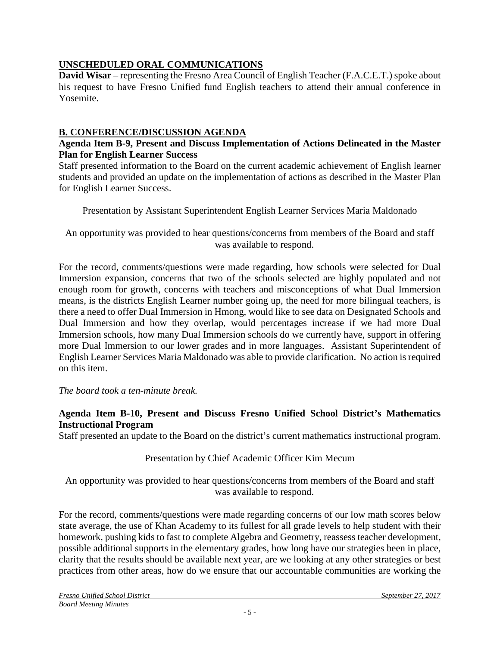# **UNSCHEDULED ORAL COMMUNICATIONS**

**David Wisar** – representing the Fresno Area Council of English Teacher (F.A.C.E.T.) spoke about his request to have Fresno Unified fund English teachers to attend their annual conference in Yosemite.

## **B. CONFERENCE/DISCUSSION AGENDA**

#### **Agenda Item B-9, Present and Discuss Implementation of Actions Delineated in the Master Plan for English Learner Success**

Staff presented information to the Board on the current academic achievement of English learner students and provided an update on the implementation of actions as described in the Master Plan for English Learner Success.

Presentation by Assistant Superintendent English Learner Services Maria Maldonado

An opportunity was provided to hear questions/concerns from members of the Board and staff was available to respond.

For the record, comments/questions were made regarding, how schools were selected for Dual Immersion expansion, concerns that two of the schools selected are highly populated and not enough room for growth, concerns with teachers and misconceptions of what Dual Immersion means, is the districts English Learner number going up, the need for more bilingual teachers, is there a need to offer Dual Immersion in Hmong, would like to see data on Designated Schools and Dual Immersion and how they overlap, would percentages increase if we had more Dual Immersion schools, how many Dual Immersion schools do we currently have, support in offering more Dual Immersion to our lower grades and in more languages. Assistant Superintendent of English Learner Services Maria Maldonado was able to provide clarification. No action is required on this item.

*The board took a ten-minute break.*

#### **Agenda Item B-10, Present and Discuss Fresno Unified School District's Mathematics Instructional Program**

Staff presented an update to the Board on the district's current mathematics instructional program.

## Presentation by Chief Academic Officer Kim Mecum

An opportunity was provided to hear questions/concerns from members of the Board and staff was available to respond.

For the record, comments/questions were made regarding concerns of our low math scores below state average, the use of Khan Academy to its fullest for all grade levels to help student with their homework, pushing kids to fast to complete Algebra and Geometry, reassess teacher development, possible additional supports in the elementary grades, how long have our strategies been in place, clarity that the results should be available next year, are we looking at any other strategies or best practices from other areas, how do we ensure that our accountable communities are working the